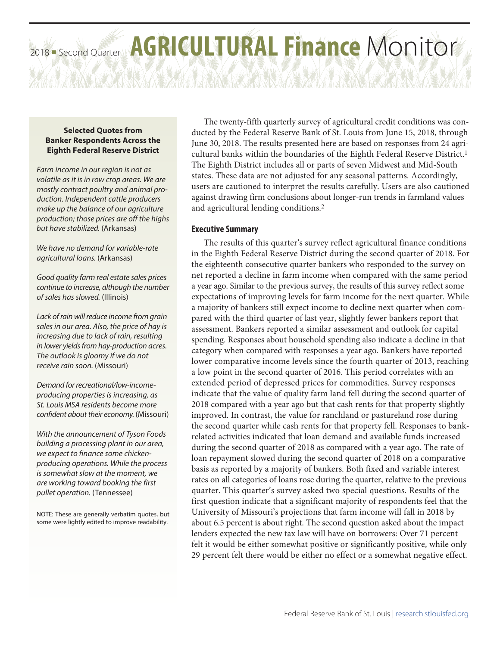# 2018 - Second Quarter AGRICULTURAL Finance Monitor

## **Selected Quotes from Banker Respondents Across the Eighth Federal Reserve District**

*Farm income in our region is not as volatile as it is in row crop areas. We are mostly contract poultry and animal production. Independent cattle producers make up the balance of our agriculture production; those prices are off the highs but have stabilized.* (Arkansas)

*We have no demand for variable-rate agricultural loans.* (Arkansas)

*Good quality farm real estate sales prices continue to increase, although the number of sales has slowed.* (Illinois)

*Lack of rain will reduce income from grain sales in our area. Also, the price of hay is increasing due to lack of rain, resulting in lower yields from hay-production acres. The outlook is gloomy if we do not receive rain soon.* (Missouri)

*Demand for recreational/low-incomeproducing properties is increasing, as St. Louis MSA residents become more confident about their economy.* (Missouri)

*With the announcement of Tyson Foods building a processing plant in our area, we expect to finance some chickenproducing operations. While the process is somewhat slow at the moment, we are working toward booking the first pullet operation.* (Tennessee)

NOTE: These are generally verbatim quotes, but some were lightly edited to improve readability.

The twenty-fifth quarterly survey of agricultural credit conditions was conducted by the Federal Reserve Bank of St. Louis from June 15, 2018, through June 30, 2018. The results presented here are based on responses from 24 agricultural banks within the boundaries of the Eighth Federal Reserve District.1 The Eighth District includes all or parts of seven Midwest and Mid-South states. These data are not adjusted for any seasonal patterns. Accordingly, users are cautioned to interpret the results carefully. Users are also cautioned against drawing firm conclusions about longer-run trends in farmland values and agricultural lending conditions.2

# **Executive Summary**

The results of this quarter's survey reflect agricultural finance conditions in the Eighth Federal Reserve District during the second quarter of 2018. For the eighteenth consecutive quarter bankers who responded to the survey on net reported a decline in farm income when compared with the same period a year ago. Similar to the previous survey, the results of this survey reflect some expectations of improving levels for farm income for the next quarter. While a majority of bankers still expect income to decline next quarter when compared with the third quarter of last year, slightly fewer bankers report that assessment. Bankers reported a similar assessment and outlook for capital spending. Responses about household spending also indicate a decline in that category when compared with responses a year ago. Bankers have reported lower comparative income levels since the fourth quarter of 2013, reaching a low point in the second quarter of 2016. This period correlates with an extended period of depressed prices for commodities. Survey responses indicate that the value of quality farm land fell during the second quarter of 2018 compared with a year ago but that cash rents for that property slightly improved. In contrast, the value for ranchland or pastureland rose during the second quarter while cash rents for that property fell. Responses to bankrelated activities indicated that loan demand and available funds increased during the second quarter of 2018 as compared with a year ago. The rate of loan repayment slowed during the second quarter of 2018 on a comparative basis as reported by a majority of bankers. Both fixed and variable interest rates on all categories of loans rose during the quarter, relative to the previous quarter. This quarter's survey asked two special questions. Results of the first question indicate that a significant majority of respondents feel that the University of Missouri's projections that farm income will fall in 2018 by about 6.5 percent is about right. The second question asked about the impact lenders expected the new tax law will have on borrowers: Over 71 percent felt it would be either somewhat positive or significantly positive, while only 29 percent felt there would be either no effect or a somewhat negative effect.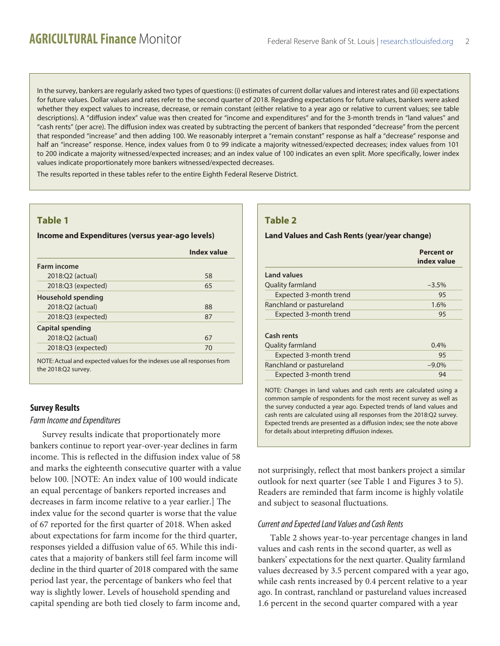In the survey, bankers are regularly asked two types of questions: (i) estimates of current dollar values and interest rates and (ii) expectations for future values. Dollar values and rates refer to the second quarter of 2018. Regarding expectations for future values, bankers were asked whether they expect values to increase, decrease, or remain constant (either relative to a year ago or relative to current values; see table descriptions). A "diffusion index" value was then created for "income and expenditures" and for the 3-month trends in "land values" and "cash rents" (per acre). The diffusion index was created by subtracting the percent of bankers that responded "decrease" from the percent that responded "increase" and then adding 100. We reasonably interpret a "remain constant" response as half a "decrease" response and half an "increase" response. Hence, index values from 0 to 99 indicate a majority witnessed/expected decreases; index values from 101 to 200 indicate a majority witnessed/expected increases; and an index value of 100 indicates an even split. More specifically, lower index values indicate proportionately more bankers witnessed/expected decreases.

The results reported in these tables refer to the entire Eighth Federal Reserve District.

# **Table 1**

#### **Income and Expenditures (versus year-ago levels)**

| Index value |
|-------------|
|             |
| 58          |
| 65          |
|             |
| 88          |
| 87          |
|             |
| 67          |
| 70          |
|             |

NOTE: Actual and expected values for the indexes use all responses from the 2018:Q2 survey.

## **Survey Results**

#### *Farm Income and Expenditures*

Survey results indicate that proportionately more bankers continue to report year-over-year declines in farm income. This is reflected in the diffusion index value of 58 and marks the eighteenth consecutive quarter with a value below 100. [NOTE: An index value of 100 would indicate an equal percentage of bankers reported increases and decreases in farm income relative to a year earlier.] The index value for the second quarter is worse that the value of 67 reported for the first quarter of 2018. When asked about expectations for farm income for the third quarter, responses yielded a diffusion value of 65. While this indicates that a majority of bankers still feel farm income will decline in the third quarter of 2018 compared with the same period last year, the percentage of bankers who feel that way is slightly lower. Levels of household spending and capital spending are both tied closely to farm income and,

# **Table 2**

#### **Land Values and Cash Rents (year/year change)**

|                          | <b>Percent or</b><br>index value |
|--------------------------|----------------------------------|
| <b>Land values</b>       |                                  |
| Quality farmland         | $-3.5%$                          |
| Expected 3-month trend   | 95                               |
| Ranchland or pastureland | 1.6%                             |
| Expected 3-month trend   | 95                               |
| Cash rents               |                                  |
| <b>Quality farmland</b>  | $0.4\%$                          |
| Expected 3-month trend   | 95                               |
| Ranchland or pastureland | $-9.0\%$                         |
| Expected 3-month trend   | 94                               |

NOTE: Changes in land values and cash rents are calculated using a common sample of respondents for the most recent survey as well as the survey conducted a year ago. Expected trends of land values and cash rents are calculated using all responses from the 2018:Q2 survey. Expected trends are presented as a diffusion index; see the note above for details about interpreting diffusion indexes.

not surprisingly, reflect that most bankers project a similar outlook for next quarter (see Table 1 and Figures 3 to 5). Readers are reminded that farm income is highly volatile and subject to seasonal fluctuations.

### *Current and Expected Land Values and Cash Rents*

Table 2 shows year-to-year percentage changes in land values and cash rents in the second quarter, as well as bankers' expectations for the next quarter. Quality farmland values decreased by 3.5 percent compared with a year ago, while cash rents increased by 0.4 percent relative to a year ago. In contrast, ranchland or pastureland values increased 1.6 percent in the second quarter compared with a year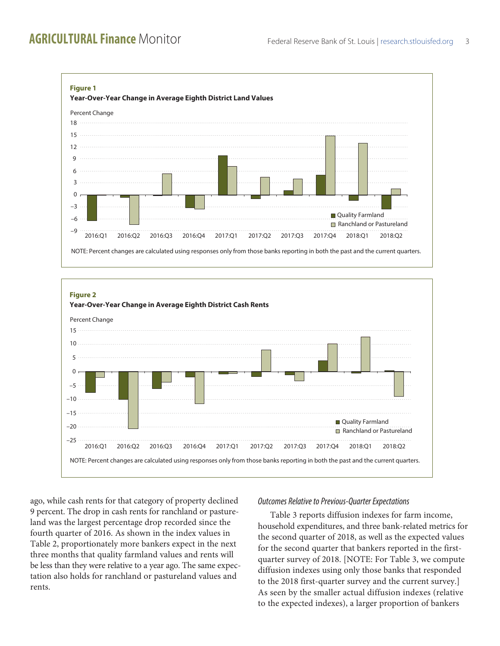



ago, while cash rents for that category of property declined 9 percent. The drop in cash rents for ranchland or pastureland was the largest percentage drop recorded since the fourth quarter of 2016. As shown in the index values in Table 2, proportionately more bankers expect in the next three months that quality farmland values and rents will be less than they were relative to a year ago. The same expectation also holds for ranchland or pastureland values and rents.

## *Outcomes Relative to Previous-Quarter Expectations*

Table 3 reports diffusion indexes for farm income, household expenditures, and three bank-related metrics for the second quarter of 2018, as well as the expected values for the second quarter that bankers reported in the firstquarter survey of 2018. [NOTE: For Table 3, we compute diffusion indexes using only those banks that responded to the 2018 first-quarter survey and the current survey.] As seen by the smaller actual diffusion indexes (relative to the expected indexes), a larger proportion of bankers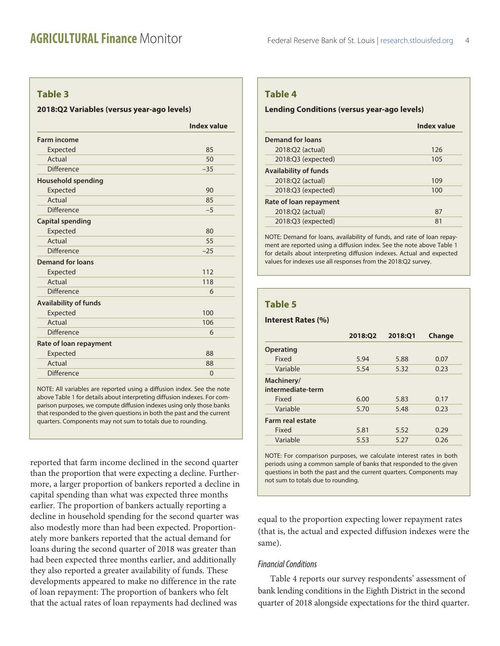# **Table 3**

#### **2018:Q2 Variables (versus year-ago levels)**

| <b>Farm income</b><br>Expected<br>Actual<br><b>Difference</b> | 85<br>50     |
|---------------------------------------------------------------|--------------|
|                                                               |              |
|                                                               |              |
|                                                               |              |
|                                                               | $-35$        |
| <b>Household spending</b>                                     |              |
| Expected                                                      | 90           |
| Actual                                                        | 85           |
| <b>Difference</b>                                             | $-5$         |
| <b>Capital spending</b>                                       |              |
| Expected                                                      | 80           |
| Actual                                                        | 55           |
| <b>Difference</b>                                             | $-25$        |
| <b>Demand for loans</b>                                       |              |
| Expected                                                      | 112          |
| Actual                                                        | 118          |
| <b>Difference</b>                                             | 6            |
| <b>Availability of funds</b>                                  |              |
| Expected                                                      | 100          |
| Actual                                                        | 106          |
| <b>Difference</b>                                             | 6            |
| Rate of loan repayment                                        |              |
| Expected                                                      | 88           |
| Actual                                                        | 88           |
| <b>Difference</b>                                             | $\mathbf{0}$ |

NOTE: All variables are reported using a diffusion index. See the note above Table 1 for details about interpreting diffusion indexes. For comparison purposes, we compute diffusion indexes using only those banks that responded to the given questions in both the past and the current quarters. Components may not sum to totals due to rounding.

reported that farm income declined in the second quarter than the proportion that were expecting a decline. Furthermore, a larger proportion of bankers reported a decline in capital spending than what was expected three months earlier. The proportion of bankers actually reporting a decline in household spending for the second quarter was also modestly more than had been expected. Proportionately more bankers reported that the actual demand for loans during the second quarter of 2018 was greater than had been expected three months earlier, and additionally they also reported a greater availability of funds. These developments appeared to make no difference in the rate of loan repayment: The proportion of bankers who felt that the actual rates of loan repayments had declined was

# **Table 4**

#### **Lending Conditions (versus year-ago levels)**

|                              | <b>Index value</b> |
|------------------------------|--------------------|
| Demand for loans             |                    |
| 2018:Q2 (actual)             | 126                |
| 2018:Q3 (expected)           | 105                |
| <b>Availability of funds</b> |                    |
| 2018:Q2 (actual)             | 109                |
| 2018:Q3 (expected)           | 100                |
| Rate of loan repayment       |                    |
| 2018:Q2 (actual)             | 87                 |
| 2018:Q3 (expected)           | 81                 |
|                              |                    |

NOTE: Demand for loans, availability of funds, and rate of loan repayment are reported using a diffusion index. See the note above Table 1 for details about interpreting diffusion indexes. Actual and expected values for indexes use all responses from the 2018:Q2 survey.

## **Table 5**

#### **Interest Rates (%)**

|                                 | 2018:Q2 | 2018:01 | <b>Change</b> |
|---------------------------------|---------|---------|---------------|
| <b>Operating</b>                |         |         |               |
| Fixed                           | 5.94    | 5.88    | 0.07          |
| Variable                        | 5.54    | 5.32    | 0.23          |
| Machinery/<br>intermediate-term |         |         |               |
| Fixed                           | 6.00    | 5.83    | 0.17          |
| Variable                        | 5.70    | 5.48    | 0.23          |
| Farm real estate                |         |         |               |
| Fixed                           | 5.81    | 5.52    | 0.29          |
| Variable                        | 5.53    | 5.27    | 0.26          |
|                                 |         |         |               |

NOTE: For comparison purposes, we calculate interest rates in both periods using a common sample of banks that responded to the given questions in both the past and the current quarters. Components may not sum to totals due to rounding.

equal to the proportion expecting lower repayment rates (that is, the actual and expected diffusion indexes were the same).

#### *Financial Conditions*

Table 4 reports our survey respondents' assessment of bank lending conditions in the Eighth District in the second quarter of 2018 alongside expectations for the third quarter.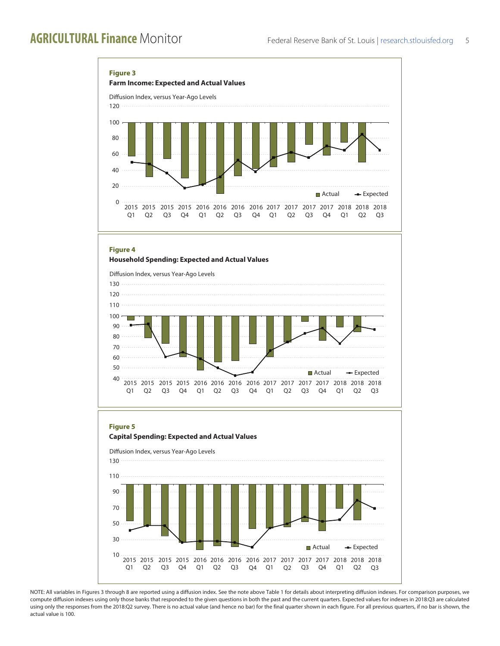

NOTE: All variables in Figures 3 through 8 are reported using a diffusion index. See the note above Table 1 for details about interpreting diffusion indexes. For comparison purposes, we compute diffusion indexes using only those banks that responded to the given questions in both the past and the current quarters. Expected values for indexes in 2018:Q3 are calculated using only the responses from the 2018:Q2 survey. There is no actual value (and hence no bar) for the final quarter shown in each figure. For all previous quarters, if no bar is shown, the actual value is 100.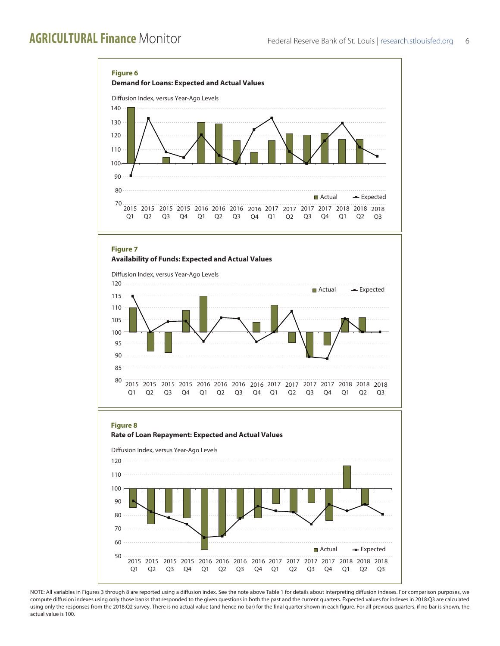

NOTE: All variables in Figures 3 through 8 are reported using a diffusion index. See the note above Table 1 for details about interpreting diffusion indexes. For comparison purposes, we compute diffusion indexes using only those banks that responded to the given questions in both the past and the current quarters. Expected values for indexes in 2018:Q3 are calculated using only the responses from the 2018:Q2 survey. There is no actual value (and hence no bar) for the final quarter shown in each figure. For all previous quarters, if no bar is shown, the actual value is 100.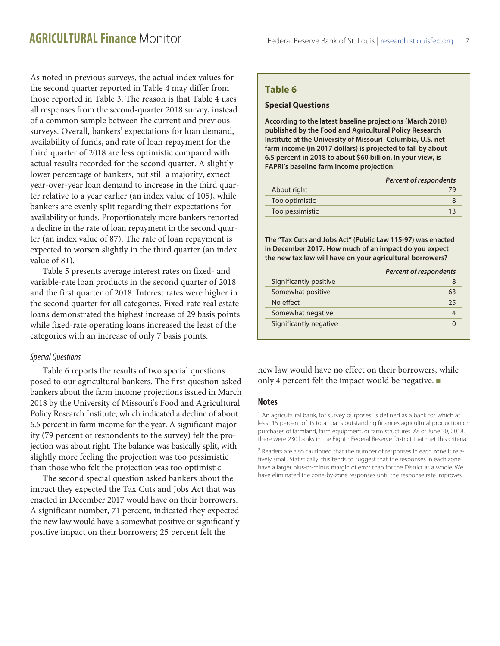As noted in previous surveys, the actual index values for the second quarter reported in Table 4 may differ from those reported in Table 3. The reason is that Table 4 uses all responses from the second-quarter 2018 survey, instead of a common sample between the current and previous surveys. Overall, bankers' expectations for loan demand, availability of funds, and rate of loan repayment for the third quarter of 2018 are less optimistic compared with actual results recorded for the second quarter. A slightly lower percentage of bankers, but still a majority, expect year-over-year loan demand to increase in the third quarter relative to a year earlier (an index value of 105), while bankers are evenly split regarding their expectations for availability of funds. Proportionately more bankers reported a decline in the rate of loan repayment in the second quarter (an index value of 87). The rate of loan repayment is expected to worsen slightly in the third quarter (an index value of 81).

Table 5 presents average interest rates on fixed- and variable-rate loan products in the second quarter of 2018 and the first quarter of 2018. Interest rates were higher in the second quarter for all categories. Fixed-rate real estate loans demonstrated the highest increase of 29 basis points while fixed-rate operating loans increased the least of the categories with an increase of only 7 basis points.

#### *Special Questions*

Table 6 reports the results of two special questions posed to our agricultural bankers. The first question asked bankers about the farm income projections issued in March 2018 by the University of Missouri's Food and Agricultural Policy Research Institute, which indicated a decline of about 6.5 percent in farm income for the year. A significant majority (79 percent of respondents to the survey) felt the projection was about right. The balance was basically split, with slightly more feeling the projection was too pessimistic than those who felt the projection was too optimistic.

The second special question asked bankers about the impact they expected the Tax Cuts and Jobs Act that was enacted in December 2017 would have on their borrowers. A significant number, 71 percent, indicated they expected the new law would have a somewhat positive or significantly positive impact on their borrowers; 25 percent felt the

# **Table 6**

#### **Special Questions**

**According to the latest baseline projections (March 2018) published by the Food and Agricultural Policy Research Institute at the University of Missouri–Columbia, U.S. net farm income (in 2017 dollars) is projected to fall by about 6.5 percent in 2018 to about \$60 billion. In your view, is FAPRI's baseline farm income projection:**

|                 | <b>Percent of respondents</b> |
|-----------------|-------------------------------|
| About right     | 79                            |
| Too optimistic  |                               |
| Too pessimistic | 13                            |

**The "Tax Cuts and Jobs Act" (Public Law 115-97) was enacted in December 2017. How much of an impact do you expect the new tax law will have on your agricultural borrowers?**

|                        | <b>Percent of respondents</b> |
|------------------------|-------------------------------|
| Significantly positive |                               |
| Somewhat positive      | 63                            |
| No effect              | 25                            |
| Somewhat negative      |                               |
| Significantly negative |                               |

new law would have no effect on their borrowers, while only 4 percent felt the impact would be negative.  $\blacksquare$ 

#### **Notes**

<sup>1</sup> An agricultural bank, for survey purposes, is defined as a bank for which at least 15 percent of its total loans outstanding finances agricultural production or purchases of farmland, farm equipment, or farm structures. As of June 30, 2018, there were 230 banks in the Eighth Federal Reserve District that met this criteria.

<sup>2</sup> Readers are also cautioned that the number of responses in each zone is relatively small. Statistically, this tends to suggest that the responses in each zone have a larger plus-or-minus margin of error than for the District as a whole. We have eliminated the zone-by-zone responses until the response rate improves.